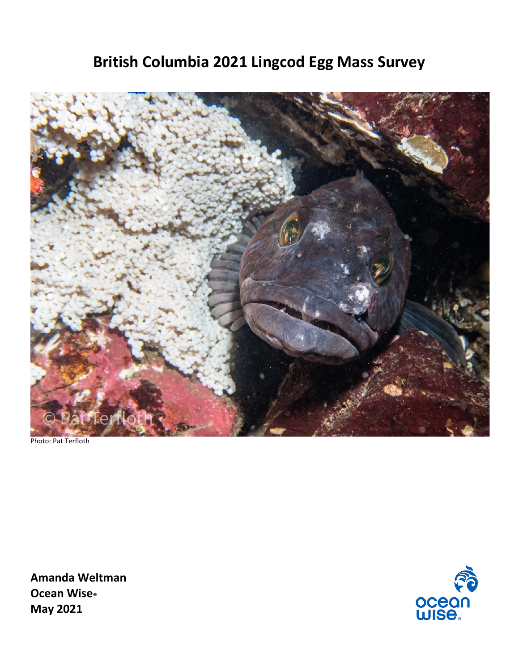# **British Columbia 2021 Lingcod Egg Mass Survey**



Photo: Pat Terfloth

**Amanda Weltman Ocean Wise® May 2021**

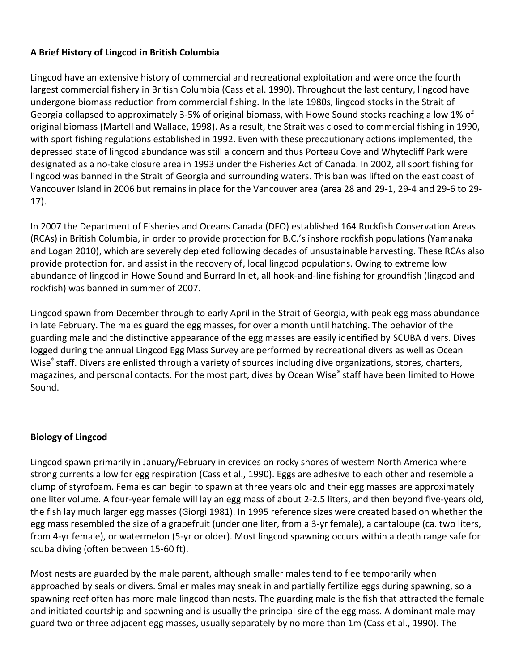## **A Brief History of Lingcod in British Columbia**

Lingcod have an extensive history of commercial and recreational exploitation and were once the fourth largest commercial fishery in British Columbia (Cass et al. 1990). Throughout the last century, lingcod have undergone biomass reduction from commercial fishing. In the late 1980s, lingcod stocks in the Strait of Georgia collapsed to approximately 3-5% of original biomass, with Howe Sound stocks reaching a low 1% of original biomass (Martell and Wallace, 1998). As a result, the Strait was closed to commercial fishing in 1990, with sport fishing regulations established in 1992. Even with these precautionary actions implemented, the depressed state of lingcod abundance was still a concern and thus Porteau Cove and Whytecliff Park were designated as a no-take closure area in 1993 under the Fisheries Act of Canada. In 2002, all sport fishing for lingcod was banned in the Strait of Georgia and surrounding waters. This ban was lifted on the east coast of Vancouver Island in 2006 but remains in place for the Vancouver area (area 28 and 29-1, 29-4 and 29-6 to 29- 17).

In 2007 the Department of Fisheries and Oceans Canada (DFO) established 164 Rockfish Conservation Areas (RCAs) in British Columbia, in order to provide protection for B.C.'s inshore rockfish populations (Yamanaka and Logan 2010), which are severely depleted following decades of unsustainable harvesting. These RCAs also provide protection for, and assist in the recovery of, local lingcod populations. Owing to extreme low abundance of lingcod in Howe Sound and Burrard Inlet, all hook-and-line fishing for groundfish (lingcod and rockfish) was banned in summer of 2007.

Lingcod spawn from December through to early April in the Strait of Georgia, with peak egg mass abundance in late February. The males guard the egg masses, for over a month until hatching. The behavior of the guarding male and the distinctive appearance of the egg masses are easily identified by SCUBA divers. Dives logged during the annual Lingcod Egg Mass Survey are performed by recreational divers as well as Ocean Wise<sup>®</sup> staff. Divers are enlisted through a variety of sources including dive organizations, stores, charters, magazines, and personal contacts. For the most part, dives by Ocean Wise® staff have been limited to Howe Sound.

## **Biology of Lingcod**

Lingcod spawn primarily in January/February in crevices on rocky shores of western North America where strong currents allow for egg respiration (Cass et al., 1990). Eggs are adhesive to each other and resemble a clump of styrofoam. Females can begin to spawn at three years old and their egg masses are approximately one liter volume. A four-year female will lay an egg mass of about 2-2.5 liters, and then beyond five-years old, the fish lay much larger egg masses (Giorgi 1981). In 1995 reference sizes were created based on whether the egg mass resembled the size of a grapefruit (under one liter, from a 3-yr female), a cantaloupe (ca. two liters, from 4-yr female), or watermelon (5-yr or older). Most lingcod spawning occurs within a depth range safe for scuba diving (often between 15-60 ft).

Most nests are guarded by the male parent, although smaller males tend to flee temporarily when approached by seals or divers. Smaller males may sneak in and partially fertilize eggs during spawning, so a spawning reef often has more male lingcod than nests. The guarding male is the fish that attracted the female and initiated courtship and spawning and is usually the principal sire of the egg mass. A dominant male may guard two or three adjacent egg masses, usually separately by no more than 1m (Cass et al., 1990). The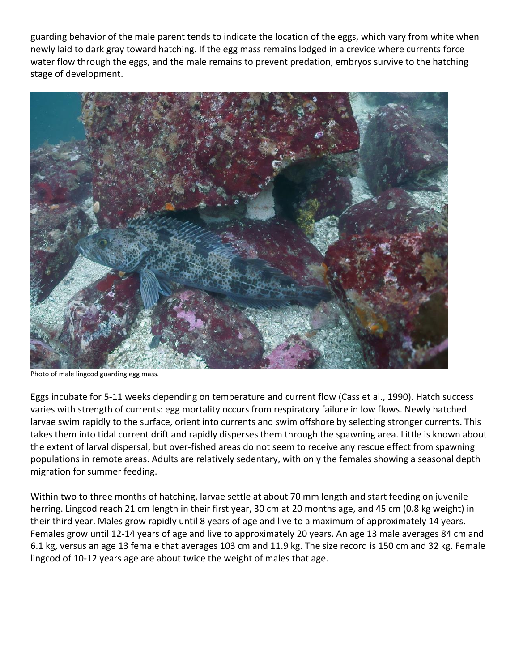guarding behavior of the male parent tends to indicate the location of the eggs, which vary from white when newly laid to dark gray toward hatching. If the egg mass remains lodged in a crevice where currents force water flow through the eggs, and the male remains to prevent predation, embryos survive to the hatching stage of development.



Photo of male lingcod guarding egg mass.

Eggs incubate for 5-11 weeks depending on temperature and current flow (Cass et al., 1990). Hatch success varies with strength of currents: egg mortality occurs from respiratory failure in low flows. Newly hatched larvae swim rapidly to the surface, orient into currents and swim offshore by selecting stronger currents. This takes them into tidal current drift and rapidly disperses them through the spawning area. Little is known about the extent of larval dispersal, but over-fished areas do not seem to receive any rescue effect from spawning populations in remote areas. Adults are relatively sedentary, with only the females showing a seasonal depth migration for summer feeding.

Within two to three months of hatching, larvae settle at about 70 mm length and start feeding on juvenile herring. Lingcod reach 21 cm length in their first year, 30 cm at 20 months age, and 45 cm (0.8 kg weight) in their third year. Males grow rapidly until 8 years of age and live to a maximum of approximately 14 years. Females grow until 12-14 years of age and live to approximately 20 years. An age 13 male averages 84 cm and 6.1 kg, versus an age 13 female that averages 103 cm and 11.9 kg. The size record is 150 cm and 32 kg. Female lingcod of 10-12 years age are about twice the weight of males that age.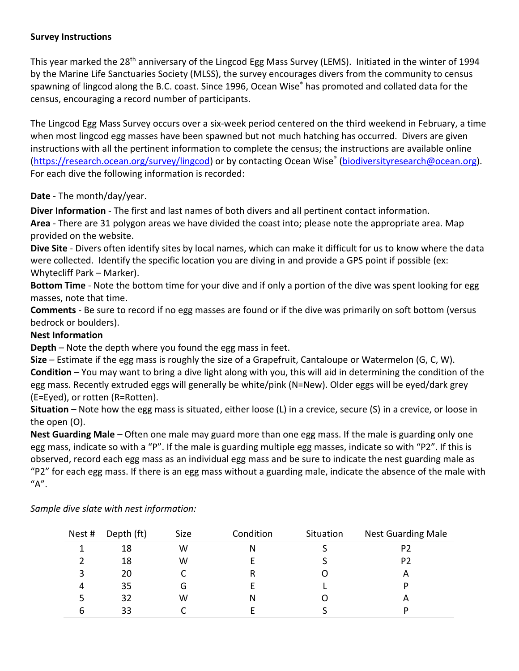## **Survey Instructions**

This year marked the 28<sup>th</sup> anniversary of the Lingcod Egg Mass Survey (LEMS). Initiated in the winter of 1994 by the Marine Life Sanctuaries Society (MLSS), the survey encourages divers from the community to census spawning of lingcod along the B.C. coast. Since 1996, Ocean Wise® has promoted and collated data for the census, encouraging a record number of participants.

The Lingcod Egg Mass Survey occurs over a six-week period centered on the third weekend in February, a time when most lingcod egg masses have been spawned but not much hatching has occurred. Divers are given instructions with all the pertinent information to complete the census; the instructions are available online [\(https://research.ocean.org/survey/lingcod\)](https://research.ocean.org/survey/lingcod) or by contacting Ocean Wise<sup>®</sup> [\(biodiversityresearch@ocean.org\)](mailto:biodiversityresearch@ocean.org). For each dive the following information is recorded:

# **Date** - The month/day/year.

**Diver Information** - The first and last names of both divers and all pertinent contact information.

**Area** - There are 31 polygon areas we have divided the coast into; please note the appropriate area. Map provided on the website.

**Dive Site** - Divers often identify sites by local names, which can make it difficult for us to know where the data were collected. Identify the specific location you are diving in and provide a GPS point if possible (ex: Whytecliff Park – Marker).

**Bottom Time** - Note the bottom time for your dive and if only a portion of the dive was spent looking for egg masses, note that time.

**Comments** - Be sure to record if no egg masses are found or if the dive was primarily on soft bottom (versus bedrock or boulders).

## **Nest Information**

**Depth** *–* Note the depth where you found the egg mass in feet.

**Size** *–* Estimate if the egg mass is roughly the size of a Grapefruit, Cantaloupe or Watermelon (G, C, W). **Condition** *–* You may want to bring a dive light along with you, this will aid in determining the condition of the egg mass. Recently extruded eggs will generally be white/pink (N=New). Older eggs will be eyed/dark grey (E=Eyed), or rotten (R=Rotten).

**Situation** *–* Note how the egg mass is situated, either loose (L) in a crevice, secure (S) in a crevice, or loose in the open (O).

**Nest Guarding Male** *–* Often one male may guard more than one egg mass. If the male is guarding only one egg mass, indicate so with a "P". If the male is guarding multiple egg masses, indicate so with "P2". If this is observed, record each egg mass as an individual egg mass and be sure to indicate the nest guarding male as "P2" for each egg mass. If there is an egg mass without a guarding male, indicate the absence of the male with "A".

| Nest #    | Depth (ft) | Size | Condition | Situation | <b>Nest Guarding Male</b> |
|-----------|------------|------|-----------|-----------|---------------------------|
|           | 18         | W    |           |           | P2                        |
|           | 18         | W    |           |           | P <sub>2</sub>            |
|           | 20         |      |           |           | A                         |
| $\Lambda$ | 35         | G    |           |           |                           |
|           | 32         | W    | N         |           | $\boldsymbol{\mathsf{A}}$ |
|           | 33         |      |           |           | D                         |

*Sample dive slate with nest information:*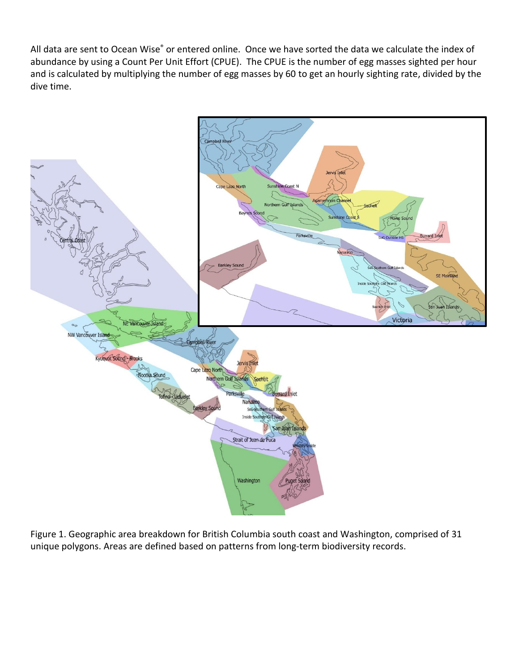All data are sent to Ocean Wise® or entered online. Once we have sorted the data we calculate the index of abundance by using a Count Per Unit Effort (CPUE). The CPUE is the number of egg masses sighted per hour and is calculated by multiplying the number of egg masses by 60 to get an hourly sighting rate, divided by the dive time.



Figure 1. Geographic area breakdown for British Columbia south coast and Washington, comprised of 31 unique polygons. Areas are defined based on patterns from long-term biodiversity records.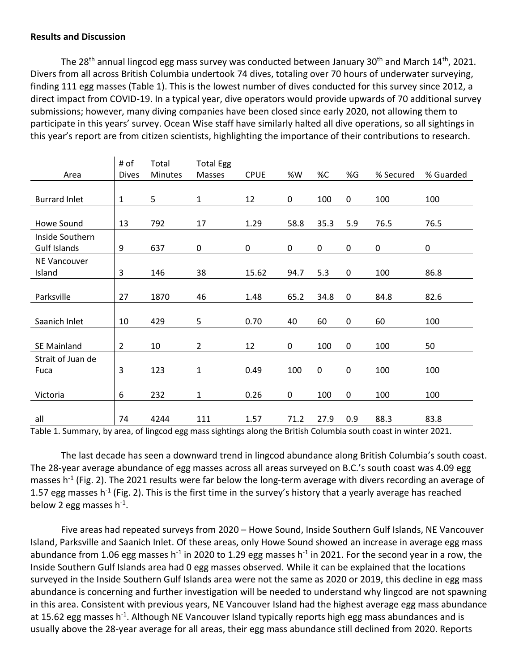### **Results and Discussion**

The 28<sup>th</sup> annual lingcod egg mass survey was conducted between January 30<sup>th</sup> and March 14<sup>th</sup>, 2021. Divers from all across British Columbia undertook 74 dives, totaling over 70 hours of underwater surveying, finding 111 egg masses (Table 1). This is the lowest number of dives conducted for this survey since 2012, a direct impact from COVID-19. In a typical year, dive operators would provide upwards of 70 additional survey submissions; however, many diving companies have been closed since early 2020, not allowing them to participate in this years' survey. Ocean Wise staff have similarly halted all dive operations, so all sightings in this year's report are from citizen scientists, highlighting the importance of their contributions to research.

|                      | # of           | Total          | <b>Total Egg</b> |             |             |           |     |           |           |
|----------------------|----------------|----------------|------------------|-------------|-------------|-----------|-----|-----------|-----------|
| Area                 | <b>Dives</b>   | <b>Minutes</b> | Masses           | <b>CPUE</b> | %W          | %C        | %G  | % Secured | % Guarded |
|                      |                |                |                  |             |             |           |     |           |           |
| <b>Burrard Inlet</b> | $\mathbf{1}$   | 5              | 1                | 12          | $\mathbf 0$ | 100       | 0   | 100       | 100       |
|                      |                |                |                  |             |             |           |     |           |           |
| <b>Howe Sound</b>    | 13             | 792            | 17               | 1.29        | 58.8        | 35.3      | 5.9 | 76.5      | 76.5      |
| Inside Southern      |                |                |                  |             |             |           |     |           |           |
| Gulf Islands         | 9              | 637            | $\pmb{0}$        | 0           | 0           | 0         | 0   | $\pmb{0}$ | 0         |
| NE Vancouver         |                |                |                  |             |             |           |     |           |           |
| Island               | 3              | 146            | 38               | 15.62       | 94.7        | 5.3       | 0   | 100       | 86.8      |
|                      |                |                |                  |             |             |           |     |           |           |
| Parksville           | 27             | 1870           | 46               | 1.48        | 65.2        | 34.8      | 0   | 84.8      | 82.6      |
|                      |                |                |                  |             |             |           |     |           |           |
| Saanich Inlet        | 10             | 429            | 5                | 0.70        | 40          | 60        | 0   | 60        | 100       |
|                      |                |                |                  |             |             |           |     |           |           |
| <b>SE Mainland</b>   | $\overline{2}$ | 10             | $\overline{2}$   | 12          | 0           | 100       | 0   | 100       | 50        |
| Strait of Juan de    |                |                |                  |             |             |           |     |           |           |
| Fuca                 | 3              | 123            | $\mathbf{1}$     | 0.49        | 100         | $\pmb{0}$ | 0   | 100       | 100       |
|                      |                |                |                  |             |             |           |     |           |           |
| Victoria             | 6              | 232            | $\mathbf{1}$     | 0.26        | $\mathbf 0$ | 100       | 0   | 100       | 100       |
|                      |                |                |                  |             |             |           |     |           |           |
| all                  | 74             | 4244           | 111              | 1.57        | 71.2        | 27.9      | 0.9 | 88.3      | 83.8      |

Table 1. Summary, by area, of lingcod egg mass sightings along the British Columbia south coast in winter 2021.

The last decade has seen a downward trend in lingcod abundance along British Columbia's south coast. The 28-year average abundance of egg masses across all areas surveyed on B.C.'s south coast was 4.09 egg masses h<sup>-1</sup> (Fig. 2). The 2021 results were far below the long-term average with divers recording an average of 1.57 egg masses h<sup>-1</sup> (Fig. 2). This is the first time in the survey's history that a yearly average has reached below 2 egg masses  $h^{-1}$ .

Five areas had repeated surveys from 2020 – Howe Sound, Inside Southern Gulf Islands, NE Vancouver Island, Parksville and Saanich Inlet. Of these areas, only Howe Sound showed an increase in average egg mass abundance from 1.06 egg masses h<sup>-1</sup> in 2020 to 1.29 egg masses h<sup>-1</sup> in 2021. For the second year in a row, the Inside Southern Gulf Islands area had 0 egg masses observed. While it can be explained that the locations surveyed in the Inside Southern Gulf Islands area were not the same as 2020 or 2019, this decline in egg mass abundance is concerning and further investigation will be needed to understand why lingcod are not spawning in this area. Consistent with previous years, NE Vancouver Island had the highest average egg mass abundance at 15.62 egg masses h<sup>-1</sup>. Although NE Vancouver Island typically reports high egg mass abundances and is usually above the 28-year average for all areas, their egg mass abundance still declined from 2020. Reports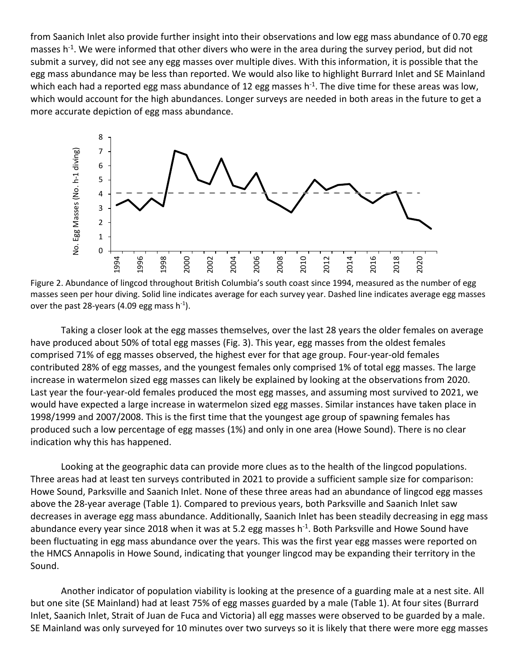from Saanich Inlet also provide further insight into their observations and low egg mass abundance of 0.70 egg masses h<sup>-1</sup>. We were informed that other divers who were in the area during the survey period, but did not submit a survey, did not see any egg masses over multiple dives. With this information, it is possible that the egg mass abundance may be less than reported. We would also like to highlight Burrard Inlet and SE Mainland which each had a reported egg mass abundance of 12 egg masses h<sup>-1</sup>. The dive time for these areas was low, which would account for the high abundances. Longer surveys are needed in both areas in the future to get a more accurate depiction of egg mass abundance.



Figure 2. Abundance of lingcod throughout British Columbia's south coast since 1994, measured as the number of egg masses seen per hour diving. Solid line indicates average for each survey year. Dashed line indicates average egg masses over the past 28-years (4.09 egg mass h $^{-1}$ ).

Taking a closer look at the egg masses themselves, over the last 28 years the older females on average have produced about 50% of total egg masses (Fig. 3). This year, egg masses from the oldest females comprised 71% of egg masses observed, the highest ever for that age group. Four-year-old females contributed 28% of egg masses, and the youngest females only comprised 1% of total egg masses. The large increase in watermelon sized egg masses can likely be explained by looking at the observations from 2020. Last year the four-year-old females produced the most egg masses, and assuming most survived to 2021, we would have expected a large increase in watermelon sized egg masses. Similar instances have taken place in 1998/1999 and 2007/2008. This is the first time that the youngest age group of spawning females has produced such a low percentage of egg masses (1%) and only in one area (Howe Sound). There is no clear indication why this has happened.

Looking at the geographic data can provide more clues as to the health of the lingcod populations. Three areas had at least ten surveys contributed in 2021 to provide a sufficient sample size for comparison: Howe Sound, Parksville and Saanich Inlet. None of these three areas had an abundance of lingcod egg masses above the 28-year average (Table 1). Compared to previous years, both Parksville and Saanich Inlet saw decreases in average egg mass abundance. Additionally, Saanich Inlet has been steadily decreasing in egg mass abundance every year since 2018 when it was at 5.2 egg masses h<sup>-1</sup>. Both Parksville and Howe Sound have been fluctuating in egg mass abundance over the years. This was the first year egg masses were reported on the HMCS Annapolis in Howe Sound, indicating that younger lingcod may be expanding their territory in the Sound.

Another indicator of population viability is looking at the presence of a guarding male at a nest site. All but one site (SE Mainland) had at least 75% of egg masses guarded by a male (Table 1). At four sites (Burrard Inlet, Saanich Inlet, Strait of Juan de Fuca and Victoria) all egg masses were observed to be guarded by a male. SE Mainland was only surveyed for 10 minutes over two surveys so it is likely that there were more egg masses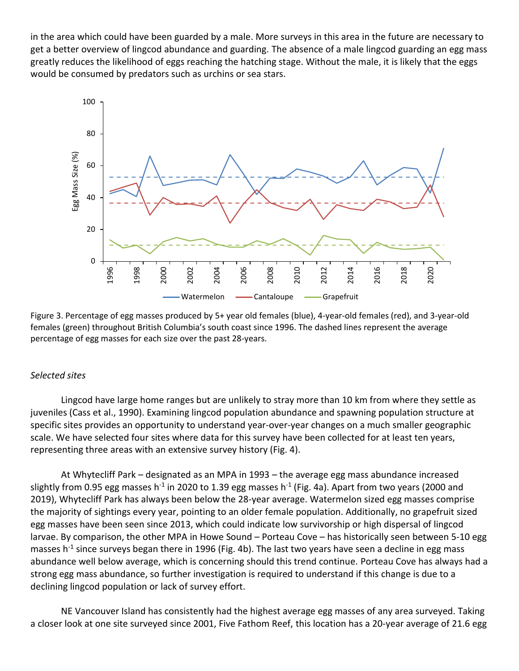in the area which could have been guarded by a male. More surveys in this area in the future are necessary to get a better overview of lingcod abundance and guarding. The absence of a male lingcod guarding an egg mass greatly reduces the likelihood of eggs reaching the hatching stage. Without the male, it is likely that the eggs would be consumed by predators such as urchins or sea stars.



Figure 3. Percentage of egg masses produced by 5+ year old females (blue), 4-year-old females (red), and 3-year-old females (green) throughout British Columbia's south coast since 1996. The dashed lines represent the average percentage of egg masses for each size over the past 28-years.

#### *Selected sites*

Lingcod have large home ranges but are unlikely to stray more than 10 km from where they settle as juveniles (Cass et al., 1990). Examining lingcod population abundance and spawning population structure at specific sites provides an opportunity to understand year-over-year changes on a much smaller geographic scale. We have selected four sites where data for this survey have been collected for at least ten years, representing three areas with an extensive survey history (Fig. 4).

At Whytecliff Park – designated as an MPA in 1993 – the average egg mass abundance increased slightly from 0.95 egg masses h<sup>-1</sup> in 2020 to 1.39 egg masses h<sup>-1</sup> (Fig. 4a). Apart from two years (2000 and 2019), Whytecliff Park has always been below the 28-year average. Watermelon sized egg masses comprise the majority of sightings every year, pointing to an older female population. Additionally, no grapefruit sized egg masses have been seen since 2013, which could indicate low survivorship or high dispersal of lingcod larvae. By comparison, the other MPA in Howe Sound – Porteau Cove – has historically seen between 5-10 egg masses h<sup>-1</sup> since surveys began there in 1996 (Fig. 4b). The last two years have seen a decline in egg mass abundance well below average, which is concerning should this trend continue. Porteau Cove has always had a strong egg mass abundance, so further investigation is required to understand if this change is due to a declining lingcod population or lack of survey effort.

NE Vancouver Island has consistently had the highest average egg masses of any area surveyed. Taking a closer look at one site surveyed since 2001, Five Fathom Reef, this location has a 20-year average of 21.6 egg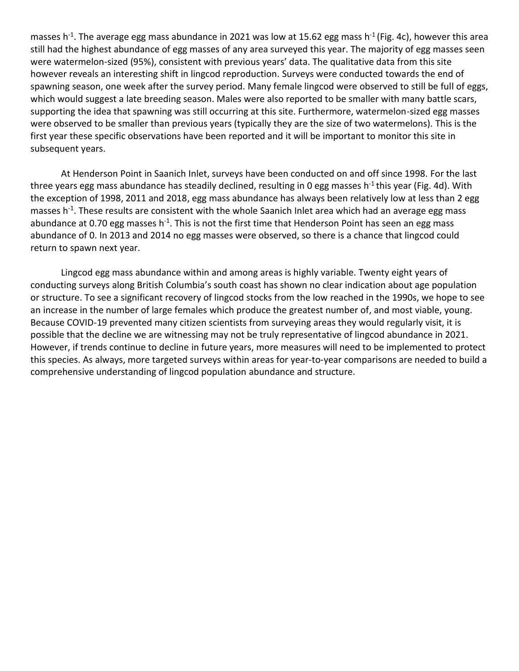masses h<sup>-1</sup>. The average egg mass abundance in 2021 was low at 15.62 egg mass h<sup>-1</sup> (Fig. 4c), however this area still had the highest abundance of egg masses of any area surveyed this year. The majority of egg masses seen were watermelon-sized (95%), consistent with previous years' data. The qualitative data from this site however reveals an interesting shift in lingcod reproduction. Surveys were conducted towards the end of spawning season, one week after the survey period. Many female lingcod were observed to still be full of eggs, which would suggest a late breeding season. Males were also reported to be smaller with many battle scars, supporting the idea that spawning was still occurring at this site. Furthermore, watermelon-sized egg masses were observed to be smaller than previous years (typically they are the size of two watermelons). This is the first year these specific observations have been reported and it will be important to monitor this site in subsequent years.

At Henderson Point in Saanich Inlet, surveys have been conducted on and off since 1998. For the last three years egg mass abundance has steadily declined, resulting in 0 egg masses h<sup>-1</sup> this year (Fig. 4d). With the exception of 1998, 2011 and 2018, egg mass abundance has always been relatively low at less than 2 egg masses h<sup>-1</sup>. These results are consistent with the whole Saanich Inlet area which had an average egg mass abundance at 0.70 egg masses h<sup>-1</sup>. This is not the first time that Henderson Point has seen an egg mass abundance of 0. In 2013 and 2014 no egg masses were observed, so there is a chance that lingcod could return to spawn next year.

Lingcod egg mass abundance within and among areas is highly variable. Twenty eight years of conducting surveys along British Columbia's south coast has shown no clear indication about age population or structure. To see a significant recovery of lingcod stocks from the low reached in the 1990s, we hope to see an increase in the number of large females which produce the greatest number of, and most viable, young. Because COVID-19 prevented many citizen scientists from surveying areas they would regularly visit, it is possible that the decline we are witnessing may not be truly representative of lingcod abundance in 2021. However, if trends continue to decline in future years, more measures will need to be implemented to protect this species. As always, more targeted surveys within areas for year-to-year comparisons are needed to build a comprehensive understanding of lingcod population abundance and structure.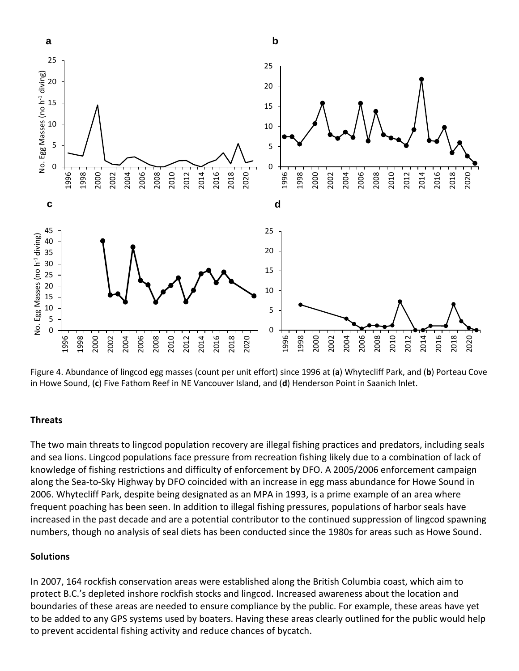

Figure 4. Abundance of lingcod egg masses (count per unit effort) since 1996 at (**a**) Whytecliff Park, and (**b**) Porteau Cove in Howe Sound, (**c**) Five Fathom Reef in NE Vancouver Island, and (**d**) Henderson Point in Saanich Inlet.

#### **Threats**

The two main threats to lingcod population recovery are illegal fishing practices and predators, including seals and sea lions. Lingcod populations face pressure from recreation fishing likely due to a combination of lack of knowledge of fishing restrictions and difficulty of enforcement by DFO. A 2005/2006 enforcement campaign along the Sea-to-Sky Highway by DFO coincided with an increase in egg mass abundance for Howe Sound in 2006. Whytecliff Park, despite being designated as an MPA in 1993, is a prime example of an area where frequent poaching has been seen. In addition to illegal fishing pressures, populations of harbor seals have increased in the past decade and are a potential contributor to the continued suppression of lingcod spawning numbers, though no analysis of seal diets has been conducted since the 1980s for areas such as Howe Sound.

#### **Solutions**

In 2007, 164 rockfish conservation areas were established along the British Columbia coast, which aim to protect B.C.'s depleted inshore rockfish stocks and lingcod. Increased awareness about the location and boundaries of these areas are needed to ensure compliance by the public. For example, these areas have yet to be added to any GPS systems used by boaters. Having these areas clearly outlined for the public would help to prevent accidental fishing activity and reduce chances of bycatch.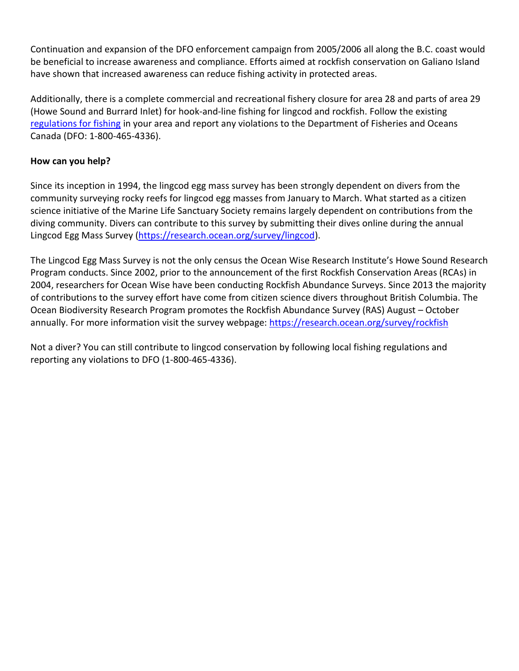Continuation and expansion of the DFO enforcement campaign from 2005/2006 all along the B.C. coast would be beneficial to increase awareness and compliance. Efforts aimed at rockfish conservation on Galiano Island have shown that increased awareness can reduce fishing activity in protected areas.

Additionally, there is a complete commercial and recreational fishery closure for area 28 and parts of area 29 (Howe Sound and Burrard Inlet) for hook-and-line fishing for lingcod and rockfish. Follow the existing [regulations for fishing](https://www.pac.dfo-mpo.gc.ca/fm-gp/rec/index-eng.html) in your area and report any violations to the Department of Fisheries and Oceans Canada (DFO: 1-800-465-4336).

## **How can you help?**

Since its inception in 1994, the lingcod egg mass survey has been strongly dependent on divers from the community surveying rocky reefs for lingcod egg masses from January to March. What started as a citizen science initiative of the Marine Life Sanctuary Society remains largely dependent on contributions from the diving community. Divers can contribute to this survey by submitting their dives online during the annual Lingcod Egg Mass Survey [\(https://research.ocean.org/survey/lingcod\)](https://research.ocean.org/survey/lingcod).

The Lingcod Egg Mass Survey is not the only census the Ocean Wise Research Institute's Howe Sound Research Program conducts. Since 2002, prior to the announcement of the first Rockfish Conservation Areas (RCAs) in 2004, researchers for Ocean Wise have been conducting Rockfish Abundance Surveys. Since 2013 the majority of contributions to the survey effort have come from citizen science divers throughout British Columbia. The Ocean Biodiversity Research Program promotes the Rockfish Abundance Survey (RAS) August – October annually. For more information visit the survey webpage:<https://research.ocean.org/survey/rockfish>

Not a diver? You can still contribute to lingcod conservation by following local fishing regulations and reporting any violations to DFO (1-800-465-4336).